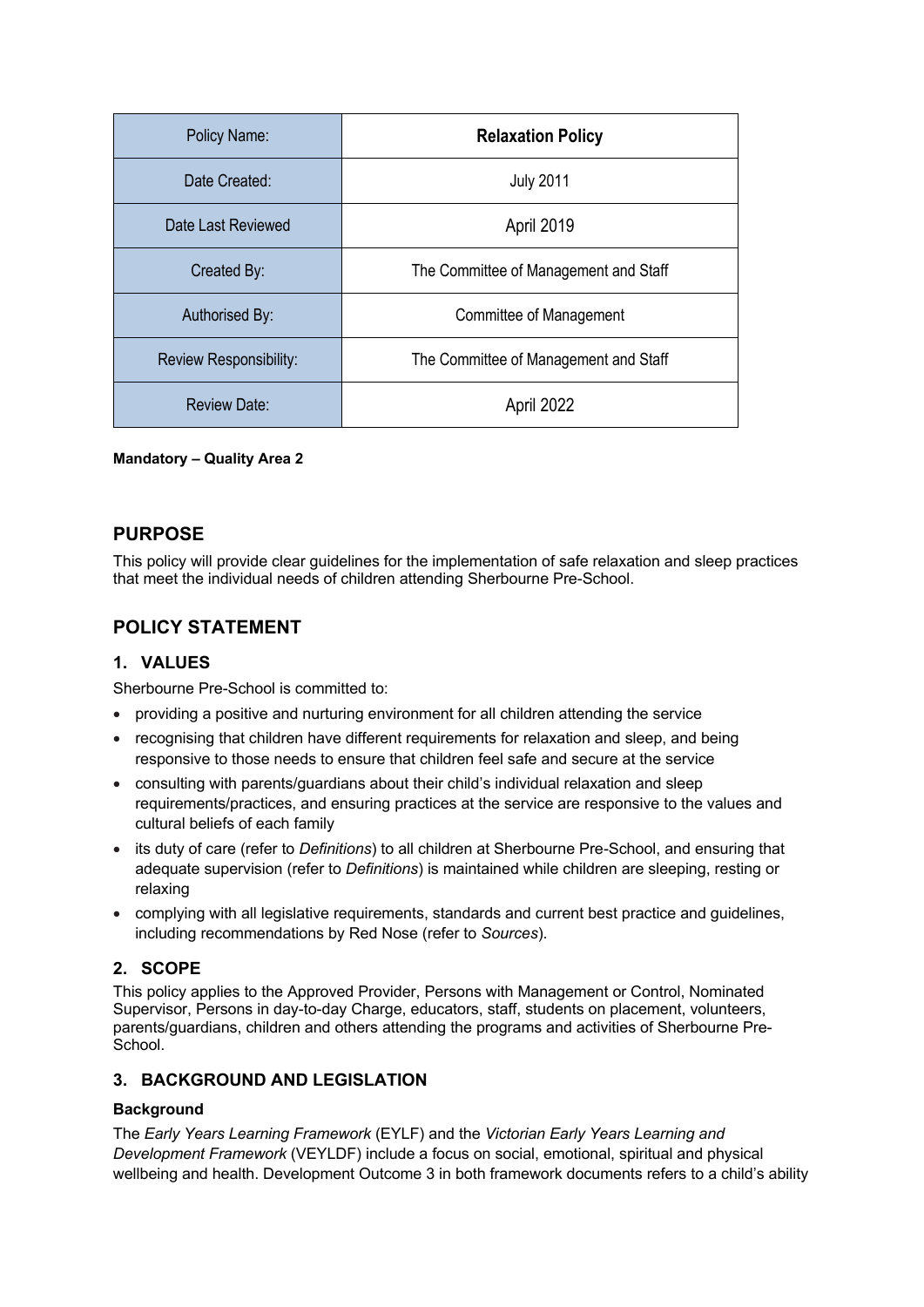| Policy Name:           | <b>Relaxation Policy</b>              |
|------------------------|---------------------------------------|
| Date Created:          | <b>July 2011</b>                      |
| Date Last Reviewed     | April 2019                            |
| Created By:            | The Committee of Management and Staff |
| Authorised By:         | Committee of Management               |
| Review Responsibility: | The Committee of Management and Staff |
| Review Date:           | April 2022                            |

**Mandatory – Quality Area 2**

# **PURPOSE**

This policy will provide clear guidelines for the implementation of safe relaxation and sleep practices that meet the individual needs of children attending Sherbourne Pre-School.

# **POLICY STATEMENT**

## **1. VALUES**

Sherbourne Pre-School is committed to:

- providing a positive and nurturing environment for all children attending the service
- recognising that children have different requirements for relaxation and sleep, and being responsive to those needs to ensure that children feel safe and secure at the service
- consulting with parents/guardians about their child's individual relaxation and sleep requirements/practices, and ensuring practices at the service are responsive to the values and cultural beliefs of each family
- its duty of care (refer to *Definitions*) to all children at Sherbourne Pre-School, and ensuring that adequate supervision (refer to *Definitions*) is maintained while children are sleeping, resting or relaxing
- complying with all legislative requirements, standards and current best practice and guidelines, including recommendations by Red Nose (refer to *Sources*).

## **2. SCOPE**

This policy applies to the Approved Provider, Persons with Management or Control, Nominated Supervisor, Persons in day-to-day Charge, educators, staff, students on placement, volunteers, parents/guardians, children and others attending the programs and activities of Sherbourne Pre-School.

## **3. BACKGROUND AND LEGISLATION**

#### **Background**

The *Early Years Learning Framework* (EYLF) and the *Victorian Early Years Learning and Development Framework* (VEYLDF) include a focus on social, emotional, spiritual and physical wellbeing and health. Development Outcome 3 in both framework documents refers to a child's ability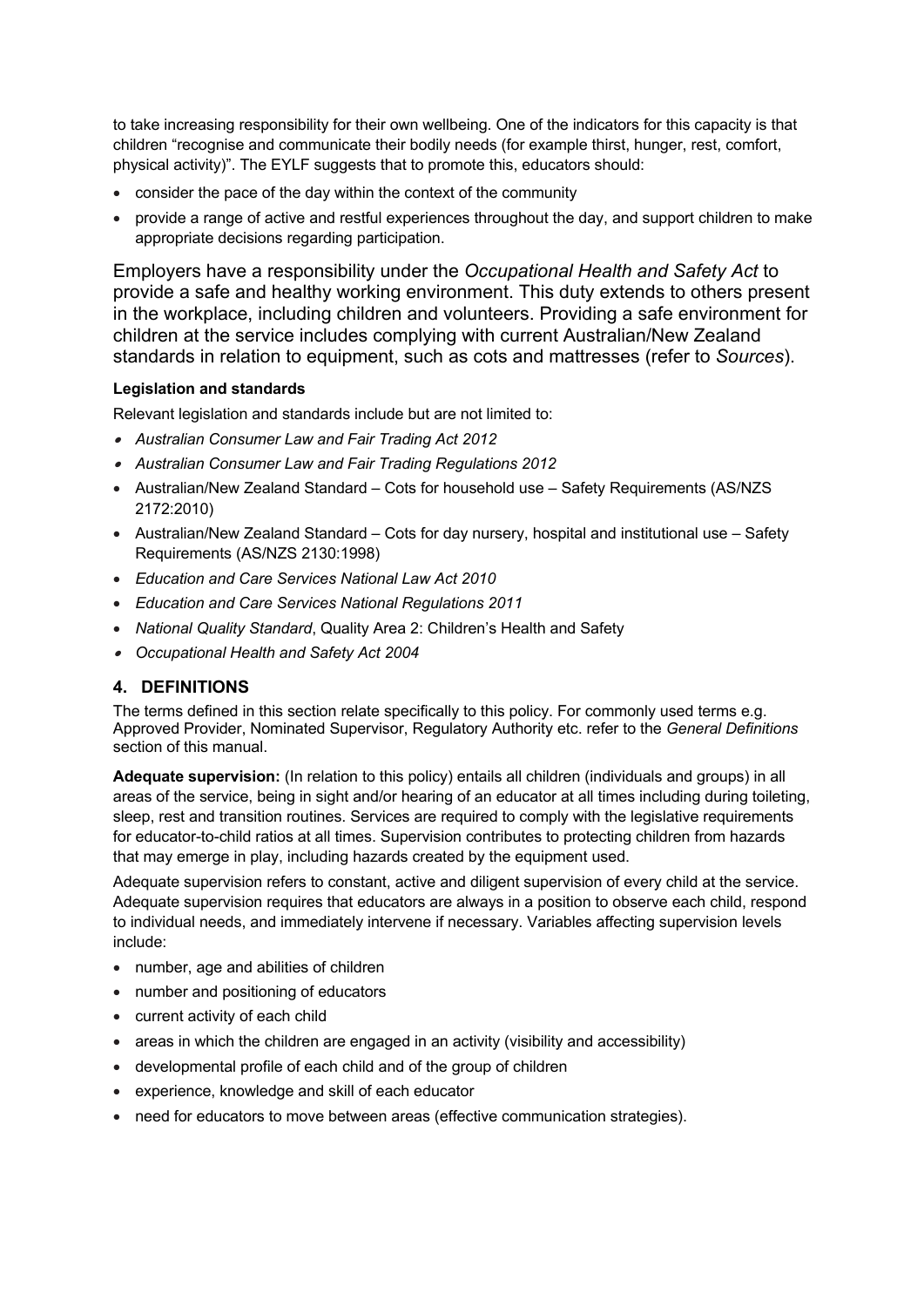to take increasing responsibility for their own wellbeing. One of the indicators for this capacity is that children "recognise and communicate their bodily needs (for example thirst, hunger, rest, comfort, physical activity)". The EYLF suggests that to promote this, educators should:

- consider the pace of the day within the context of the community
- provide a range of active and restful experiences throughout the day, and support children to make appropriate decisions regarding participation.

Employers have a responsibility under the *Occupational Health and Safety Act* to provide a safe and healthy working environment. This duty extends to others present in the workplace, including children and volunteers. Providing a safe environment for children at the service includes complying with current Australian/New Zealand standards in relation to equipment, such as cots and mattresses (refer to *Sources*).

## **Legislation and standards**

Relevant legislation and standards include but are not limited to:

- *Australian Consumer Law and Fair Trading Act 2012*
- *Australian Consumer Law and Fair Trading Regulations 2012*
- Australian/New Zealand Standard Cots for household use Safety Requirements (AS/NZS) 2172:2010)
- Australian/New Zealand Standard Cots for day nursery, hospital and institutional use Safety Requirements (AS/NZS 2130:1998)
- *Education and Care Services National Law Act 2010*
- *Education and Care Services National Regulations 2011*
- *National Quality Standard*, Quality Area 2: Children's Health and Safety
- *Occupational Health and Safety Act 2004*

## **4. DEFINITIONS**

The terms defined in this section relate specifically to this policy. For commonly used terms e.g. Approved Provider, Nominated Supervisor, Regulatory Authority etc. refer to the *General Definitions* section of this manual.

**Adequate supervision:** (In relation to this policy) entails all children (individuals and groups) in all areas of the service, being in sight and/or hearing of an educator at all times including during toileting, sleep, rest and transition routines. Services are required to comply with the legislative requirements for educator-to-child ratios at all times. Supervision contributes to protecting children from hazards that may emerge in play, including hazards created by the equipment used.

Adequate supervision refers to constant, active and diligent supervision of every child at the service. Adequate supervision requires that educators are always in a position to observe each child, respond to individual needs, and immediately intervene if necessary. Variables affecting supervision levels include:

- number, age and abilities of children
- number and positioning of educators
- current activity of each child
- areas in which the children are engaged in an activity (visibility and accessibility)
- developmental profile of each child and of the group of children
- experience, knowledge and skill of each educator
- need for educators to move between areas (effective communication strategies).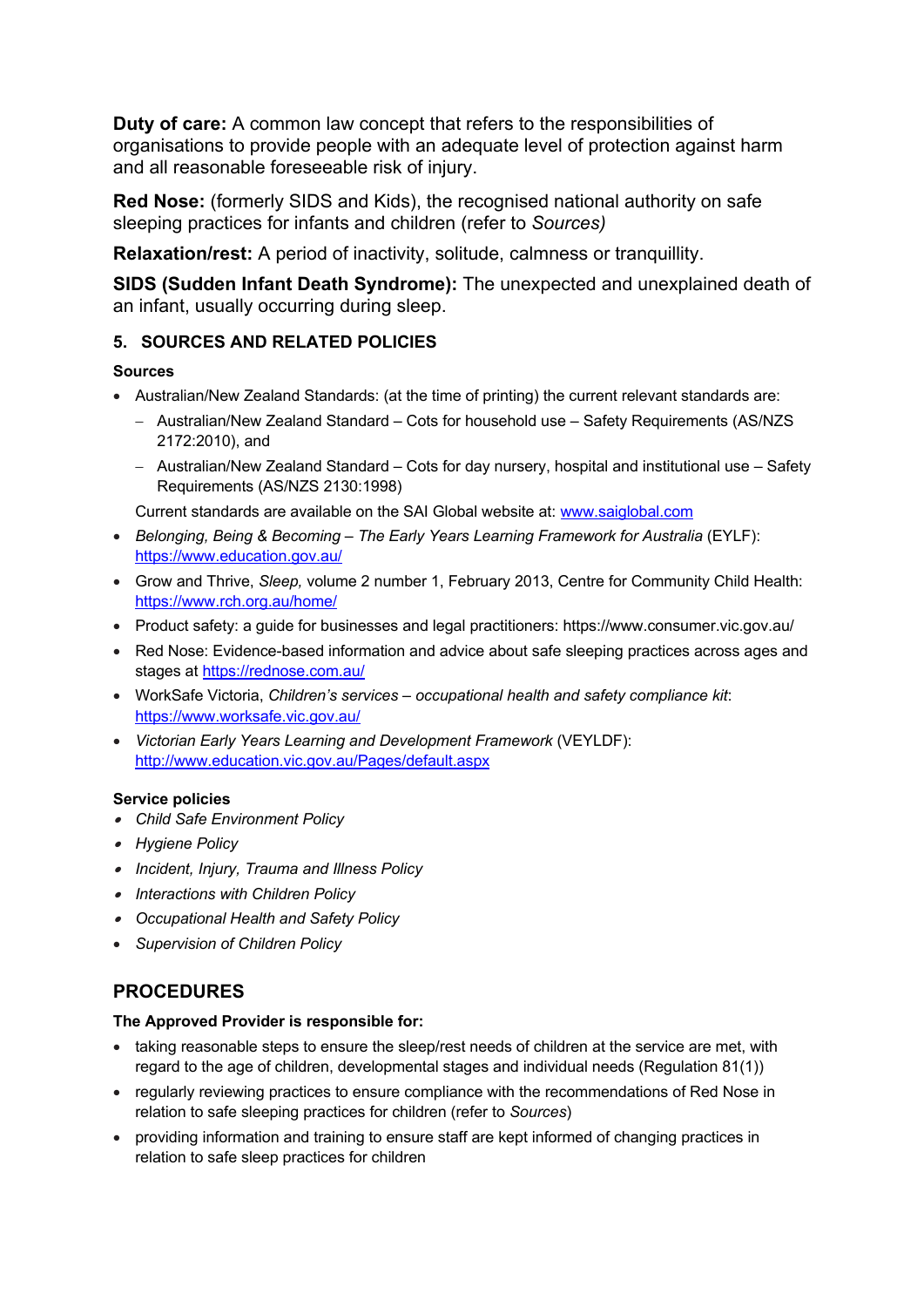**Duty of care:** A common law concept that refers to the responsibilities of organisations to provide people with an adequate level of protection against harm and all reasonable foreseeable risk of injury.

**Red Nose:** (formerly SIDS and Kids), the recognised national authority on safe sleeping practices for infants and children (refer to *Sources)*

**Relaxation/rest:** A period of inactivity, solitude, calmness or tranquillity.

**SIDS (Sudden Infant Death Syndrome):** The unexpected and unexplained death of an infant, usually occurring during sleep.

# **5. SOURCES AND RELATED POLICIES**

## **Sources**

- Australian/New Zealand Standards: (at the time of printing) the current relevant standards are:
	- Australian/New Zealand Standard Cots for household use Safety Requirements (AS/NZS) 2172:2010), and
	- Australian/New Zealand Standard Cots for day nursery, hospital and institutional use Safety Requirements (AS/NZS 2130:1998)

Current standards are available on the SAI Global website at: www.saiglobal.com

- *Belonging, Being & Becoming – The Early Years Learning Framework for Australia* (EYLF): https://www.education.gov.au/
- Grow and Thrive, *Sleep,* volume 2 number 1, February 2013, Centre for Community Child Health: https://www.rch.org.au/home/
- Product safety: a guide for businesses and legal practitioners: https://www.consumer.vic.gov.au/
- Red Nose: Evidence-based information and advice about safe sleeping practices across ages and stages at https://rednose.com.au/
- WorkSafe Victoria, *Children's services – occupational health and safety compliance kit*: https://www.worksafe.vic.gov.au/
- *Victorian Early Years Learning and Development Framework* (VEYLDF): http://www.education.vic.gov.au/Pages/default.aspx

## **Service policies**

- *Child Safe Environment Policy*
- *Hygiene Policy*
- *Incident, Injury, Trauma and Illness Policy*
- *Interactions with Children Policy*
- *Occupational Health and Safety Policy*
- *Supervision of Children Policy*

# **PROCEDURES**

#### **The Approved Provider is responsible for:**

- taking reasonable steps to ensure the sleep/rest needs of children at the service are met, with regard to the age of children, developmental stages and individual needs (Regulation 81(1))
- regularly reviewing practices to ensure compliance with the recommendations of Red Nose in relation to safe sleeping practices for children (refer to *Sources*)
- providing information and training to ensure staff are kept informed of changing practices in relation to safe sleep practices for children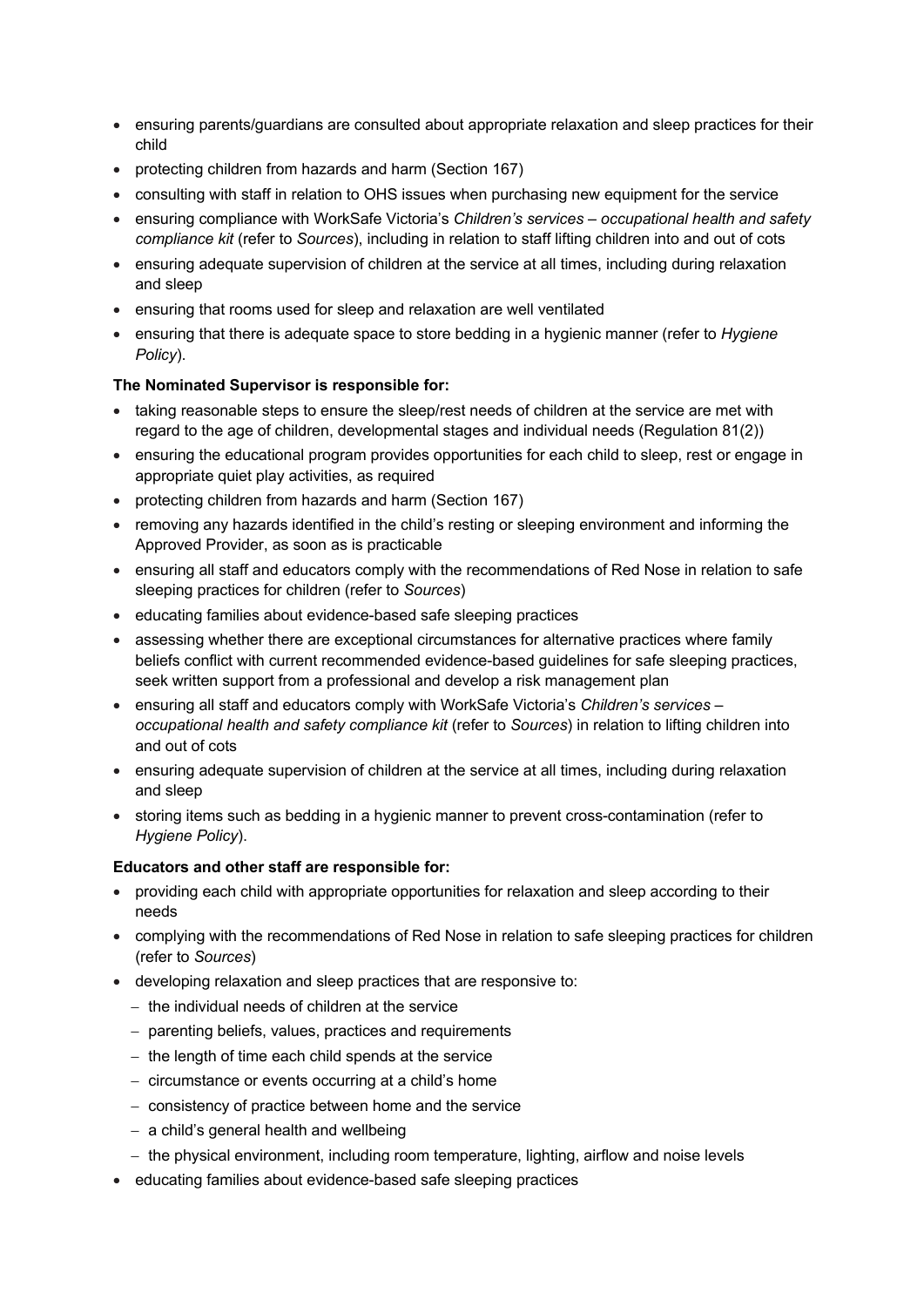- ensuring parents/guardians are consulted about appropriate relaxation and sleep practices for their child
- protecting children from hazards and harm (Section 167)
- consulting with staff in relation to OHS issues when purchasing new equipment for the service
- ensuring compliance with WorkSafe Victoria's *Children's services – occupational health and safety compliance kit* (refer to *Sources*), including in relation to staff lifting children into and out of cots
- ensuring adequate supervision of children at the service at all times, including during relaxation and sleep
- ensuring that rooms used for sleep and relaxation are well ventilated
- ensuring that there is adequate space to store bedding in a hygienic manner (refer to *Hygiene Policy*).

## **The Nominated Supervisor is responsible for:**

- taking reasonable steps to ensure the sleep/rest needs of children at the service are met with regard to the age of children, developmental stages and individual needs (Regulation 81(2))
- ensuring the educational program provides opportunities for each child to sleep, rest or engage in appropriate quiet play activities, as required
- protecting children from hazards and harm (Section 167)
- removing any hazards identified in the child's resting or sleeping environment and informing the Approved Provider, as soon as is practicable
- ensuring all staff and educators comply with the recommendations of Red Nose in relation to safe sleeping practices for children (refer to *Sources*)
- educating families about evidence-based safe sleeping practices
- assessing whether there are exceptional circumstances for alternative practices where family beliefs conflict with current recommended evidence-based guidelines for safe sleeping practices, seek written support from a professional and develop a risk management plan
- ensuring all staff and educators comply with WorkSafe Victoria's *Children's services – occupational health and safety compliance kit* (refer to *Sources*) in relation to lifting children into and out of cots
- ensuring adequate supervision of children at the service at all times, including during relaxation and sleep
- storing items such as bedding in a hygienic manner to prevent cross-contamination (refer to *Hygiene Policy*).

#### **Educators and other staff are responsible for:**

- providing each child with appropriate opportunities for relaxation and sleep according to their needs
- complying with the recommendations of Red Nose in relation to safe sleeping practices for children (refer to *Sources*)
- developing relaxation and sleep practices that are responsive to:
	- the individual needs of children at the service
	- parenting beliefs, values, practices and requirements
	- the length of time each child spends at the service
	- circumstance or events occurring at a child's home
	- consistency of practice between home and the service
	- a child's general health and wellbeing
	- the physical environment, including room temperature, lighting, airflow and noise levels
- educating families about evidence-based safe sleeping practices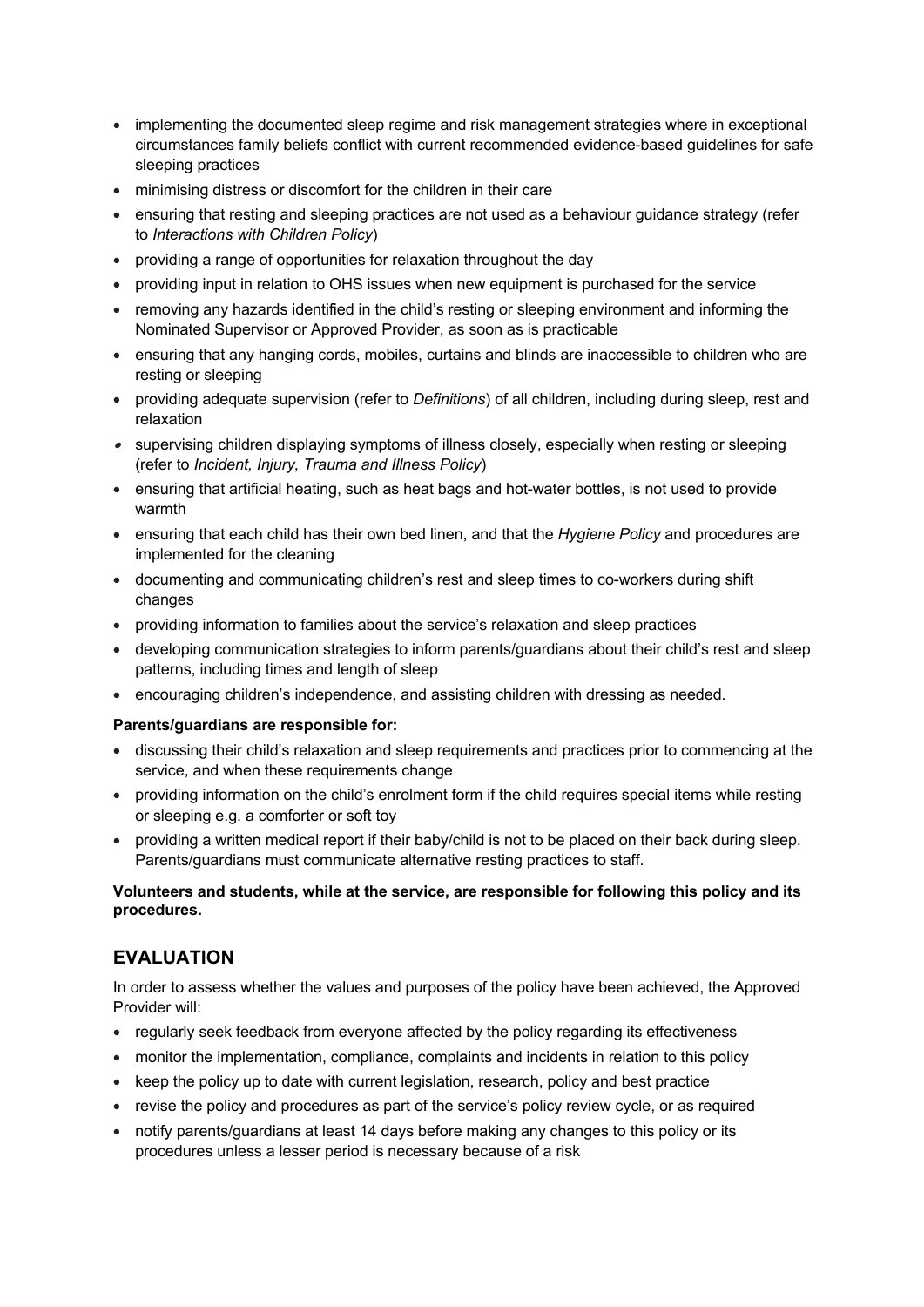- implementing the documented sleep regime and risk management strategies where in exceptional circumstances family beliefs conflict with current recommended evidence-based guidelines for safe sleeping practices
- minimising distress or discomfort for the children in their care
- ensuring that resting and sleeping practices are not used as a behaviour guidance strategy (refer to *Interactions with Children Policy*)
- providing a range of opportunities for relaxation throughout the day
- providing input in relation to OHS issues when new equipment is purchased for the service
- removing any hazards identified in the child's resting or sleeping environment and informing the Nominated Supervisor or Approved Provider, as soon as is practicable
- ensuring that any hanging cords, mobiles, curtains and blinds are inaccessible to children who are resting or sleeping
- providing adequate supervision (refer to *Definitions*) of all children, including during sleep, rest and relaxation
- supervising children displaying symptoms of illness closely, especially when resting or sleeping (refer to *Incident, Injury, Trauma and Illness Policy*)
- ensuring that artificial heating, such as heat bags and hot-water bottles, is not used to provide warmth
- ensuring that each child has their own bed linen, and that the *Hygiene Policy* and procedures are implemented for the cleaning
- documenting and communicating children's rest and sleep times to co-workers during shift changes
- providing information to families about the service's relaxation and sleep practices
- developing communication strategies to inform parents/guardians about their child's rest and sleep patterns, including times and length of sleep
- encouraging children's independence, and assisting children with dressing as needed.

#### **Parents/guardians are responsible for:**

- discussing their child's relaxation and sleep requirements and practices prior to commencing at the service, and when these requirements change
- providing information on the child's enrolment form if the child requires special items while resting or sleeping e.g. a comforter or soft toy
- providing a written medical report if their baby/child is not to be placed on their back during sleep. Parents/guardians must communicate alternative resting practices to staff.

## **Volunteers and students, while at the service, are responsible for following this policy and its procedures.**

# **EVALUATION**

In order to assess whether the values and purposes of the policy have been achieved, the Approved Provider will:

- regularly seek feedback from everyone affected by the policy regarding its effectiveness
- monitor the implementation, compliance, complaints and incidents in relation to this policy
- keep the policy up to date with current legislation, research, policy and best practice
- revise the policy and procedures as part of the service's policy review cycle, or as required
- notify parents/guardians at least 14 days before making any changes to this policy or its procedures unless a lesser period is necessary because of a risk